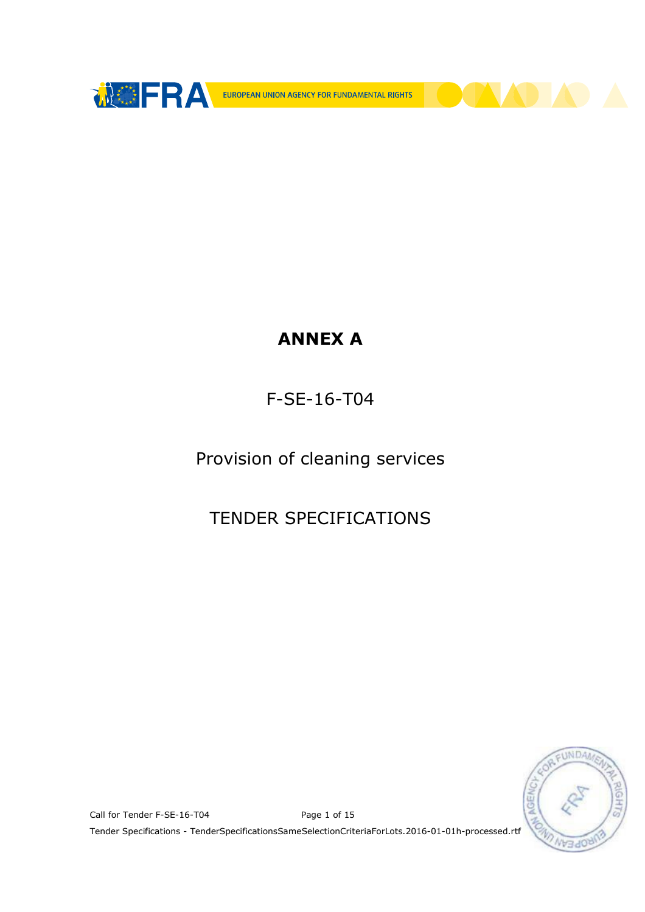

# ANNEX A

## F-SE-16-T04

Provision of cleaning services

## TENDER SPECIFICATIONS



Call for Tender F-SE-16-T04 Page 1 of 15

Tender Specifications - TenderSpecificationsSameSelectionCriteriaForLots.2016-01-01h-processed.rtf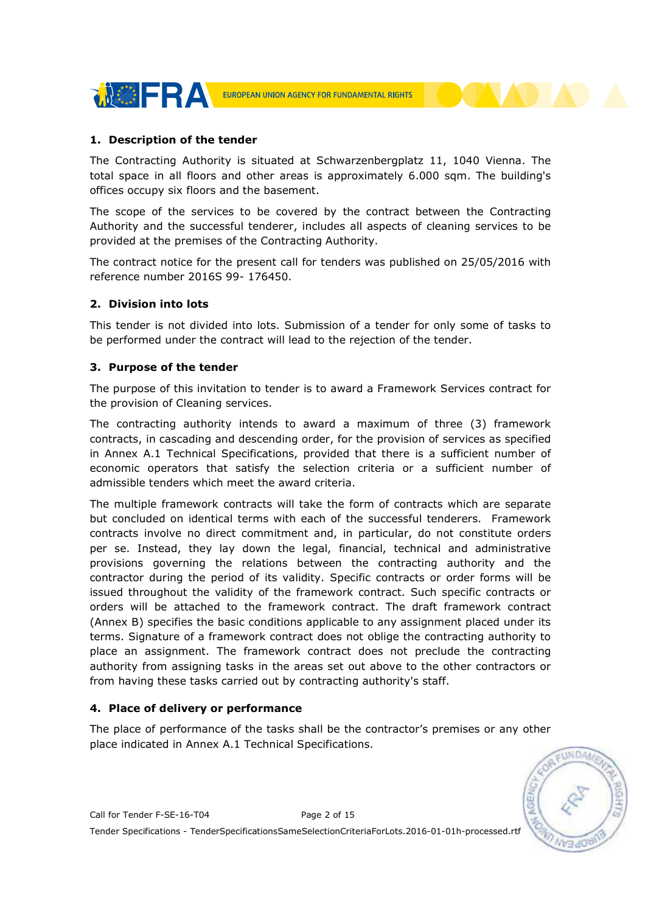

## 1. Description of the tender

The Contracting Authority is situated at Schwarzenbergplatz 11, 1040 Vienna. The total space in all floors and other areas is approximately 6.000 sqm. The building's offices occupy six floors and the basement.

The scope of the services to be covered by the contract between the Contracting Authority and the successful tenderer, includes all aspects of cleaning services to be provided at the premises of the Contracting Authority.

The contract notice for the present call for tenders was published on 25/05/2016 with reference number 2016S 99- 176450.

#### 2. Division into lots

This tender is not divided into lots. Submission of a tender for only some of tasks to be performed under the contract will lead to the rejection of the tender.

#### 3. Purpose of the tender

The purpose of this invitation to tender is to award a Framework Services contract for the provision of Cleaning services.

The contracting authority intends to award a maximum of three (3) framework contracts, in cascading and descending order, for the provision of services as specified in Annex A.1 Technical Specifications, provided that there is a sufficient number of economic operators that satisfy the selection criteria or a sufficient number of admissible tenders which meet the award criteria.

The multiple framework contracts will take the form of contracts which are separate but concluded on identical terms with each of the successful tenderers. Framework contracts involve no direct commitment and, in particular, do not constitute orders per se. Instead, they lay down the legal, financial, technical and administrative provisions governing the relations between the contracting authority and the contractor during the period of its validity. Specific contracts or order forms will be issued throughout the validity of the framework contract. Such specific contracts or orders will be attached to the framework contract. The draft framework contract (Annex B) specifies the basic conditions applicable to any assignment placed under its terms. Signature of a framework contract does not oblige the contracting authority to place an assignment. The framework contract does not preclude the contracting authority from assigning tasks in the areas set out above to the other contractors or from having these tasks carried out by contracting authority's staff.

## 4. Place of delivery or performance

The place of performance of the tasks shall be the contractor's premises or any other place indicated in Annex A.1 Technical Specifications.



Call for Tender F-SE-16-T04 Page 2 of 15 Tender Specifications - TenderSpecificationsSameSelectionCriteriaForLots.2016-01-01h-processed.rtf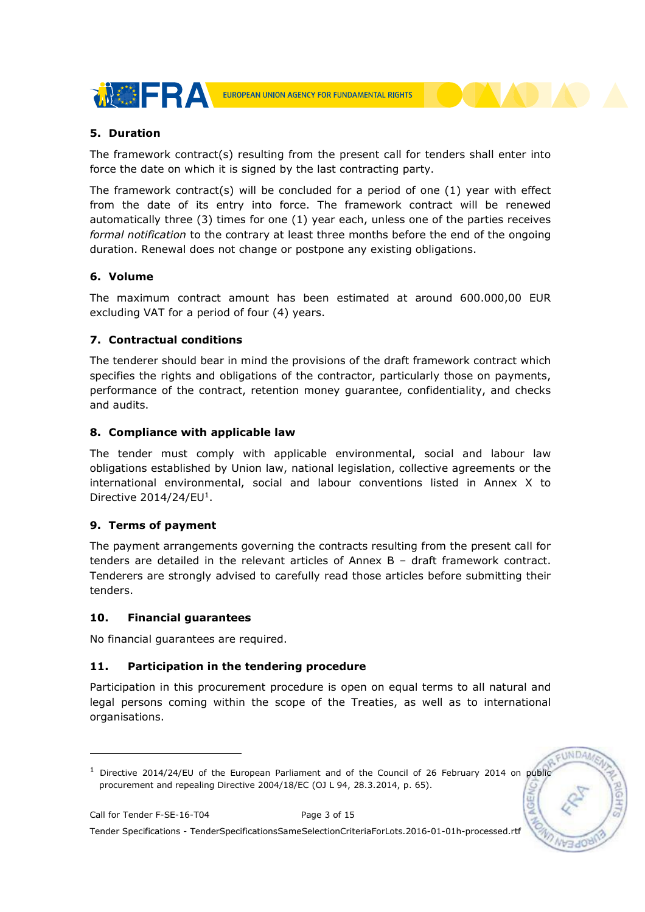

## 5. Duration

The framework contract(s) resulting from the present call for tenders shall enter into force the date on which it is signed by the last contracting party.

The framework contract(s) will be concluded for a period of one (1) year with effect from the date of its entry into force. The framework contract will be renewed automatically three (3) times for one (1) year each, unless one of the parties receives formal notification to the contrary at least three months before the end of the ongoing duration. Renewal does not change or postpone any existing obligations.

## 6. Volume

The maximum contract amount has been estimated at around 600.000,00 EUR excluding VAT for a period of four (4) years.

## 7. Contractual conditions

The tenderer should bear in mind the provisions of the draft framework contract which specifies the rights and obligations of the contractor, particularly those on payments, performance of the contract, retention money guarantee, confidentiality, and checks and audits.

## 8. Compliance with applicable law

The tender must comply with applicable environmental, social and labour law obligations established by Union law, national legislation, collective agreements or the international environmental, social and labour conventions listed in Annex X to Directive  $2014/24$ /EU<sup>1</sup>.

## 9. Terms of payment

The payment arrangements governing the contracts resulting from the present call for tenders are detailed in the relevant articles of Annex B – draft framework contract. Tenderers are strongly advised to carefully read those articles before submitting their tenders.

## 10. Financial guarantees

No financial guarantees are required.

## 11. Participation in the tendering procedure

Participation in this procurement procedure is open on equal terms to all natural and legal persons coming within the scope of the Treaties, as well as to international organisations.

-

EUNDA

<sup>&</sup>lt;sup>1</sup> Directive 2014/24/EU of the European Parliament and of the Council of 26 February 2014 on public procurement and repealing Directive 2004/18/EC (OJ L 94, 28.3.2014, p. 65).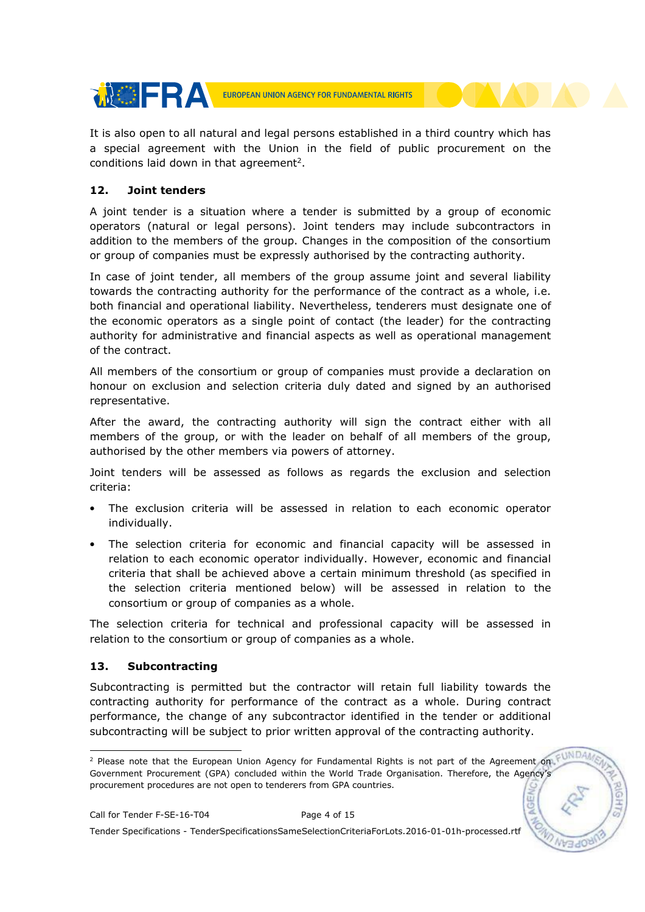

It is also open to all natural and legal persons established in a third country which has a special agreement with the Union in the field of public procurement on the conditions laid down in that agreement<sup>2</sup>.

## 12. Joint tenders

A joint tender is a situation where a tender is submitted by a group of economic operators (natural or legal persons). Joint tenders may include subcontractors in addition to the members of the group. Changes in the composition of the consortium or group of companies must be expressly authorised by the contracting authority.

In case of joint tender, all members of the group assume joint and several liability towards the contracting authority for the performance of the contract as a whole, i.e. both financial and operational liability. Nevertheless, tenderers must designate one of the economic operators as a single point of contact (the leader) for the contracting authority for administrative and financial aspects as well as operational management of the contract.

All members of the consortium or group of companies must provide a declaration on honour on exclusion and selection criteria duly dated and signed by an authorised representative.

After the award, the contracting authority will sign the contract either with all members of the group, or with the leader on behalf of all members of the group, authorised by the other members via powers of attorney.

Joint tenders will be assessed as follows as regards the exclusion and selection criteria:

- The exclusion criteria will be assessed in relation to each economic operator individually.
- The selection criteria for economic and financial capacity will be assessed in relation to each economic operator individually. However, economic and financial criteria that shall be achieved above a certain minimum threshold (as specified in the selection criteria mentioned below) will be assessed in relation to the consortium or group of companies as a whole.

The selection criteria for technical and professional capacity will be assessed in relation to the consortium or group of companies as a whole.

## 13. Subcontracting

Subcontracting is permitted but the contractor will retain full liability towards the contracting authority for performance of the contract as a whole. During contract performance, the change of any subcontractor identified in the tender or additional subcontracting will be subject to prior written approval of the contracting authority.

 2 Please note that the European Union Agency for Fundamental Rights is not part of the Agreement on Government Procurement (GPA) concluded within the World Trade Organisation. Therefore, the Agency's procurement procedures are not open to tenderers from GPA countries.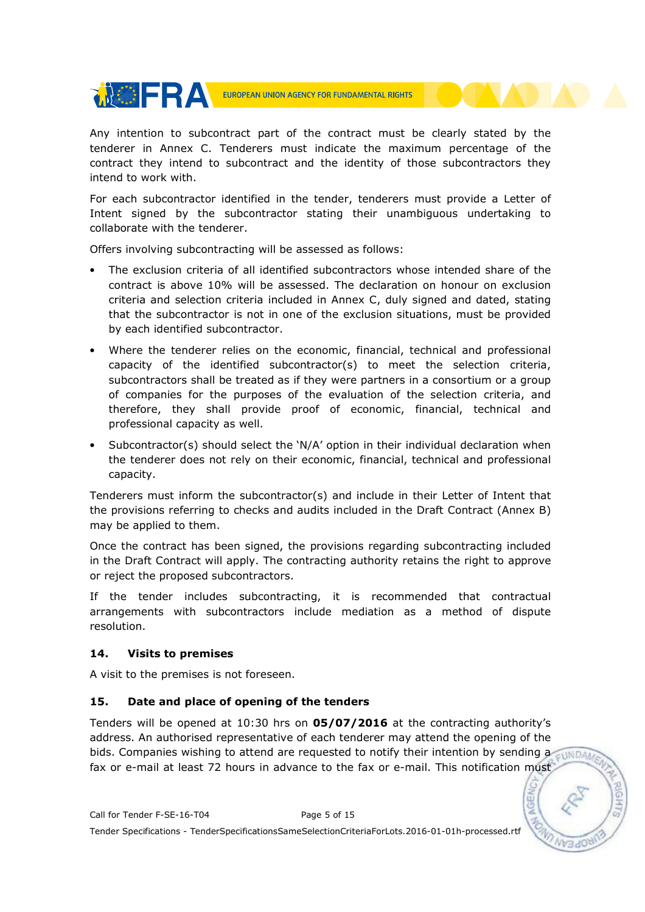

Any intention to subcontract part of the contract must be clearly stated by the tenderer in Annex C. Tenderers must indicate the maximum percentage of the contract they intend to subcontract and the identity of those subcontractors they intend to work with.

For each subcontractor identified in the tender, tenderers must provide a Letter of Intent signed by the subcontractor stating their unambiguous undertaking to collaborate with the tenderer.

Offers involving subcontracting will be assessed as follows:

- The exclusion criteria of all identified subcontractors whose intended share of the contract is above 10% will be assessed. The declaration on honour on exclusion criteria and selection criteria included in Annex C, duly signed and dated, stating that the subcontractor is not in one of the exclusion situations, must be provided by each identified subcontractor.
- Where the tenderer relies on the economic, financial, technical and professional capacity of the identified subcontractor(s) to meet the selection criteria, subcontractors shall be treated as if they were partners in a consortium or a group of companies for the purposes of the evaluation of the selection criteria, and therefore, they shall provide proof of economic, financial, technical and professional capacity as well.
- Subcontractor(s) should select the 'N/A' option in their individual declaration when the tenderer does not rely on their economic, financial, technical and professional capacity.

Tenderers must inform the subcontractor(s) and include in their Letter of Intent that the provisions referring to checks and audits included in the Draft Contract (Annex B) may be applied to them.

Once the contract has been signed, the provisions regarding subcontracting included in the Draft Contract will apply. The contracting authority retains the right to approve or reject the proposed subcontractors.

If the tender includes subcontracting, it is recommended that contractual arrangements with subcontractors include mediation as a method of dispute resolution.

## 14. Visits to premises

A visit to the premises is not foreseen.

## 15. Date and place of opening of the tenders

Tenders will be opened at 10:30 hrs on 05/07/2016 at the contracting authority's address. An authorised representative of each tenderer may attend the opening of the bids. Companies wishing to attend are requested to notify their intention by sending a cunnal fax or e-mail at least 72 hours in advance to the fax or e-mail. This notification must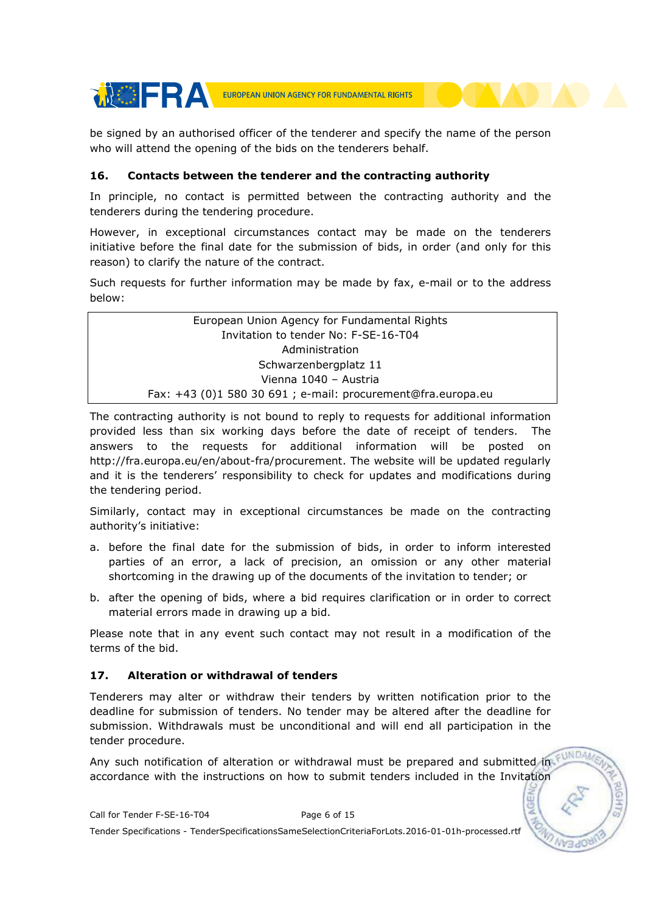

be signed by an authorised officer of the tenderer and specify the name of the person who will attend the opening of the bids on the tenderers behalf.

## 16. Contacts between the tenderer and the contracting authority

In principle, no contact is permitted between the contracting authority and the tenderers during the tendering procedure.

However, in exceptional circumstances contact may be made on the tenderers initiative before the final date for the submission of bids, in order (and only for this reason) to clarify the nature of the contract.

Such requests for further information may be made by fax, e-mail or to the address below:

European Union Agency for Fundamental Rights Invitation to tender No: F-SE-16-T04 Administration Schwarzenbergplatz 11 Vienna 1040 – Austria Fax: +43 (0)1 580 30 691 ; e-mail: procurement@fra.europa.eu

The contracting authority is not bound to reply to requests for additional information provided less than six working days before the date of receipt of tenders. The answers to the requests for additional information will be posted on http://fra.europa.eu/en/about-fra/procurement. The website will be updated regularly and it is the tenderers' responsibility to check for updates and modifications during the tendering period.

Similarly, contact may in exceptional circumstances be made on the contracting authority's initiative:

- a. before the final date for the submission of bids, in order to inform interested parties of an error, a lack of precision, an omission or any other material shortcoming in the drawing up of the documents of the invitation to tender; or
- b. after the opening of bids, where a bid requires clarification or in order to correct material errors made in drawing up a bid.

Please note that in any event such contact may not result in a modification of the terms of the bid.

## 17. Alteration or withdrawal of tenders

Tenderers may alter or withdraw their tenders by written notification prior to the deadline for submission of tenders. No tender may be altered after the deadline for submission. Withdrawals must be unconditional and will end all participation in the tender procedure.

Any such notification of alteration or withdrawal must be prepared and submitted in accordance with the instructions on how to submit tenders included in the Invitation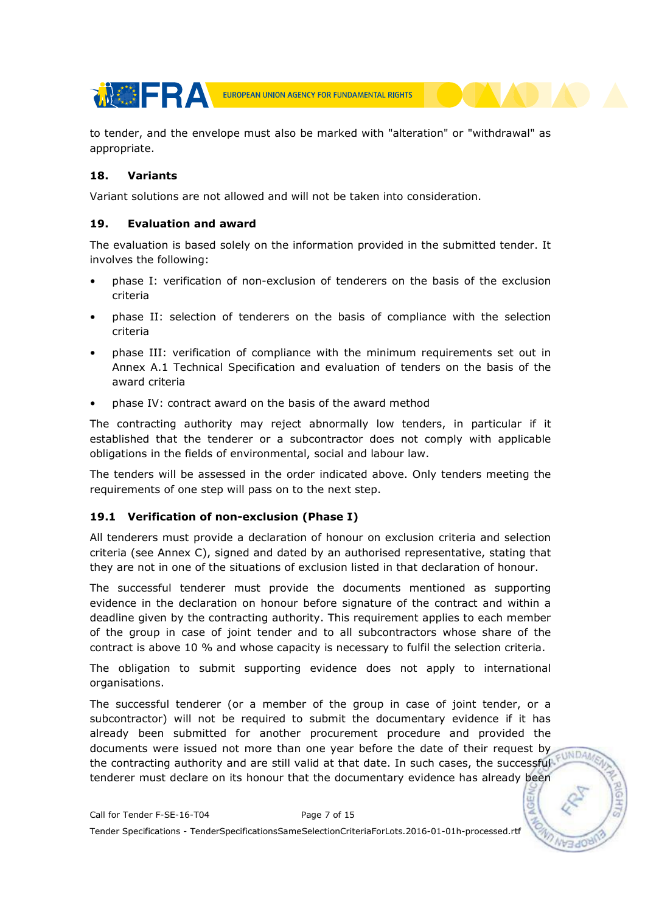**THE REAL PROPERTY OF FUNDAMENTAL RIGHTS** 

to tender, and the envelope must also be marked with "alteration" or "withdrawal" as appropriate.

## 18. Variants

Variant solutions are not allowed and will not be taken into consideration.

## 19. Evaluation and award

The evaluation is based solely on the information provided in the submitted tender. It involves the following:

- phase I: verification of non-exclusion of tenderers on the basis of the exclusion criteria
- phase II: selection of tenderers on the basis of compliance with the selection criteria
- phase III: verification of compliance with the minimum requirements set out in Annex A.1 Technical Specification and evaluation of tenders on the basis of the award criteria
- phase IV: contract award on the basis of the award method

The contracting authority may reject abnormally low tenders, in particular if it established that the tenderer or a subcontractor does not comply with applicable obligations in the fields of environmental, social and labour law.

The tenders will be assessed in the order indicated above. Only tenders meeting the requirements of one step will pass on to the next step.

## 19.1 Verification of non-exclusion (Phase I)

All tenderers must provide a declaration of honour on exclusion criteria and selection criteria (see Annex C), signed and dated by an authorised representative, stating that they are not in one of the situations of exclusion listed in that declaration of honour.

The successful tenderer must provide the documents mentioned as supporting evidence in the declaration on honour before signature of the contract and within a deadline given by the contracting authority. This requirement applies to each member of the group in case of joint tender and to all subcontractors whose share of the contract is above 10 % and whose capacity is necessary to fulfil the selection criteria.

The obligation to submit supporting evidence does not apply to international organisations.

The successful tenderer (or a member of the group in case of joint tender, or a subcontractor) will not be required to submit the documentary evidence if it has already been submitted for another procurement procedure and provided the documents were issued not more than one year before the date of their request by EUNDA the contracting authority and are still valid at that date. In such cases, the successful tenderer must declare on its honour that the documentary evidence has already been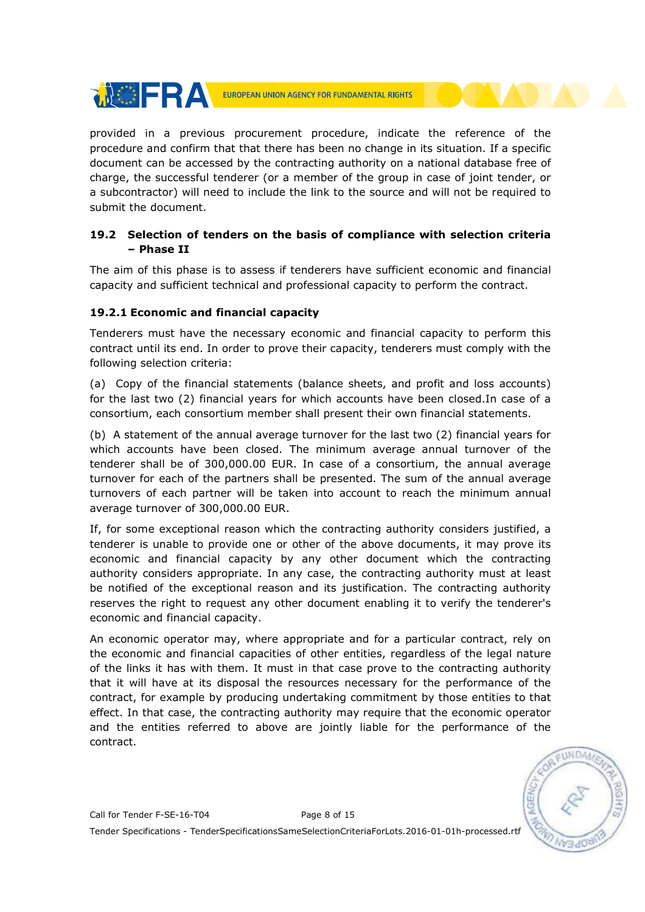

provided in a previous procurement procedure, indicate the reference of the procedure and confirm that that there has been no change in its situation. If a specific document can be accessed by the contracting authority on a national database free of charge, the successful tenderer (or a member of the group in case of joint tender, or a subcontractor) will need to include the link to the source and will not be required to submit the document.

## 19.2 Selection of tenders on the basis of compliance with selection criteria – Phase II

The aim of this phase is to assess if tenderers have sufficient economic and financial capacity and sufficient technical and professional capacity to perform the contract.

## 19.2.1 Economic and financial capacity

**MOFRA** 

Tenderers must have the necessary economic and financial capacity to perform this contract until its end. In order to prove their capacity, tenderers must comply with the following selection criteria:

(a) Copy of the financial statements (balance sheets, and profit and loss accounts) for the last two (2) financial years for which accounts have been closed.In case of a consortium, each consortium member shall present their own financial statements.

(b) A statement of the annual average turnover for the last two (2) financial years for which accounts have been closed. The minimum average annual turnover of the tenderer shall be of 300,000.00 EUR. In case of a consortium, the annual average turnover for each of the partners shall be presented. The sum of the annual average turnovers of each partner will be taken into account to reach the minimum annual average turnover of 300,000.00 EUR.

If, for some exceptional reason which the contracting authority considers justified, a tenderer is unable to provide one or other of the above documents, it may prove its economic and financial capacity by any other document which the contracting authority considers appropriate. In any case, the contracting authority must at least be notified of the exceptional reason and its justification. The contracting authority reserves the right to request any other document enabling it to verify the tenderer's economic and financial capacity.

An economic operator may, where appropriate and for a particular contract, rely on the economic and financial capacities of other entities, regardless of the legal nature of the links it has with them. It must in that case prove to the contracting authority that it will have at its disposal the resources necessary for the performance of the contract, for example by producing undertaking commitment by those entities to that effect. In that case, the contracting authority may require that the economic operator and the entities referred to above are jointly liable for the performance of the contract.

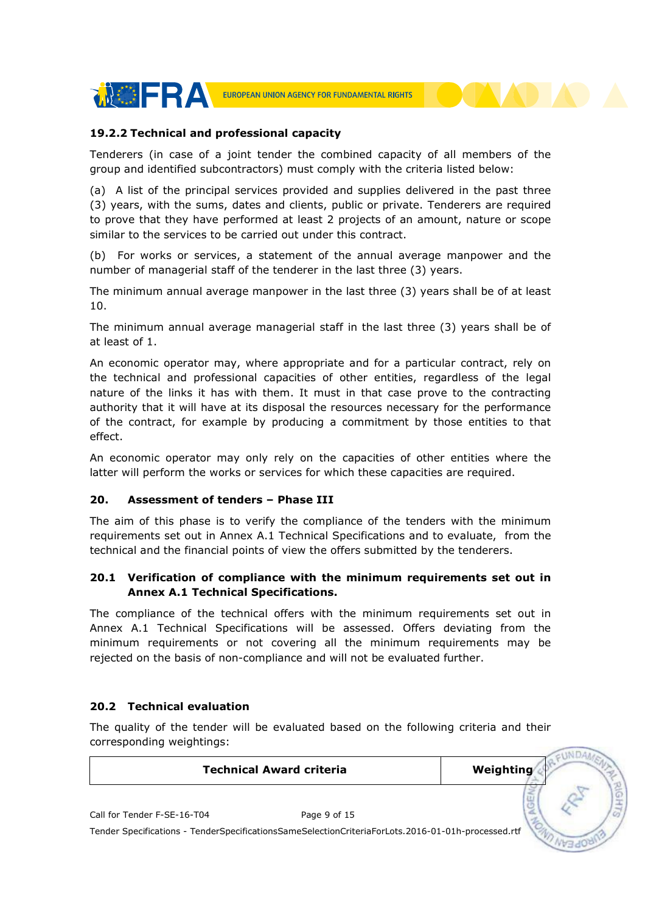

## 19.2.2 Technical and professional capacity

Tenderers (in case of a joint tender the combined capacity of all members of the group and identified subcontractors) must comply with the criteria listed below:

(a) A list of the principal services provided and supplies delivered in the past three (3) years, with the sums, dates and clients, public or private. Tenderers are required to prove that they have performed at least 2 projects of an amount, nature or scope similar to the services to be carried out under this contract.

(b) For works or services, a statement of the annual average manpower and the number of managerial staff of the tenderer in the last three (3) years.

The minimum annual average manpower in the last three (3) years shall be of at least 10.

The minimum annual average managerial staff in the last three (3) years shall be of at least of 1.

An economic operator may, where appropriate and for a particular contract, rely on the technical and professional capacities of other entities, regardless of the legal nature of the links it has with them. It must in that case prove to the contracting authority that it will have at its disposal the resources necessary for the performance of the contract, for example by producing a commitment by those entities to that effect.

An economic operator may only rely on the capacities of other entities where the latter will perform the works or services for which these capacities are required.

#### 20. Assessment of tenders – Phase III

The aim of this phase is to verify the compliance of the tenders with the minimum requirements set out in Annex A.1 Technical Specifications and to evaluate, from the technical and the financial points of view the offers submitted by the tenderers.

## 20.1 Verification of compliance with the minimum requirements set out in Annex A.1 Technical Specifications.

The compliance of the technical offers with the minimum requirements set out in Annex A.1 Technical Specifications will be assessed. Offers deviating from the minimum requirements or not covering all the minimum requirements may be rejected on the basis of non-compliance and will not be evaluated further.

## 20.2 Technical evaluation

The quality of the tender will be evaluated based on the following criteria and their corresponding weightings:

| <b>Technical Award criteria</b>                                                                    | Weighting |  |
|----------------------------------------------------------------------------------------------------|-----------|--|
| Call for Tender F-SE-16-T04<br>Page 9 of 15                                                        |           |  |
| Tender Specifications - TenderSpecificationsSameSelectionCriteriaForLots.2016-01-01h-processed.rtf |           |  |

 $\overline{\phantom{a}}$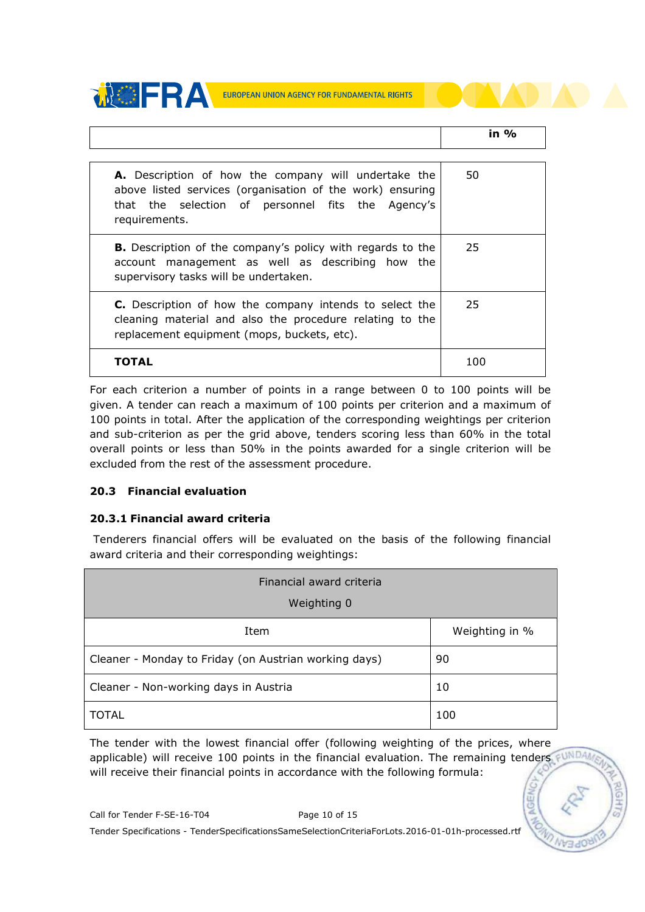



For each criterion a number of points in a range between 0 to 100 points will be given. A tender can reach a maximum of 100 points per criterion and a maximum of 100 points in total. After the application of the corresponding weightings per criterion and sub-criterion as per the grid above, tenders scoring less than 60% in the total overall points or less than 50% in the points awarded for a single criterion will be excluded from the rest of the assessment procedure.

## 20.3 Financial evaluation

## 20.3.1 Financial award criteria

 Tenderers financial offers will be evaluated on the basis of the following financial award criteria and their corresponding weightings:

| Financial award criteria<br>Weighting 0               |                |  |
|-------------------------------------------------------|----------------|--|
| Item                                                  | Weighting in % |  |
| Cleaner - Monday to Friday (on Austrian working days) | 90             |  |
| Cleaner - Non-working days in Austria                 | 10             |  |
| TOTAL                                                 | 100            |  |

The tender with the lowest financial offer (following weighting of the prices, where applicable) will receive 100 points in the financial evaluation. The remaining tenders  $\not\in$  UNDA will receive their financial points in accordance with the following formula: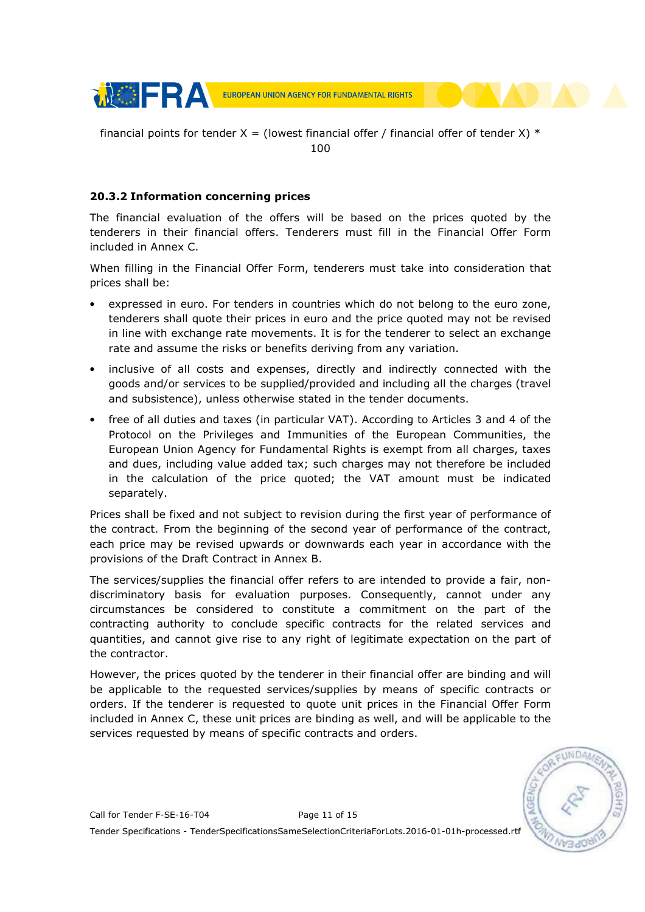

financial points for tender  $X =$  (lowest financial offer / financial offer of tender X)  $*$ 100

## 20.3.2 Information concerning prices

The financial evaluation of the offers will be based on the prices quoted by the tenderers in their financial offers. Tenderers must fill in the Financial Offer Form included in Annex C.

When filling in the Financial Offer Form, tenderers must take into consideration that prices shall be:

- expressed in euro. For tenders in countries which do not belong to the euro zone, tenderers shall quote their prices in euro and the price quoted may not be revised in line with exchange rate movements. It is for the tenderer to select an exchange rate and assume the risks or benefits deriving from any variation.
- inclusive of all costs and expenses, directly and indirectly connected with the goods and/or services to be supplied/provided and including all the charges (travel and subsistence), unless otherwise stated in the tender documents.
- free of all duties and taxes (in particular VAT). According to Articles 3 and 4 of the Protocol on the Privileges and Immunities of the European Communities, the European Union Agency for Fundamental Rights is exempt from all charges, taxes and dues, including value added tax; such charges may not therefore be included in the calculation of the price quoted; the VAT amount must be indicated separately.

Prices shall be fixed and not subject to revision during the first year of performance of the contract. From the beginning of the second year of performance of the contract, each price may be revised upwards or downwards each year in accordance with the provisions of the Draft Contract in Annex B.

The services/supplies the financial offer refers to are intended to provide a fair, nondiscriminatory basis for evaluation purposes. Consequently, cannot under any circumstances be considered to constitute a commitment on the part of the contracting authority to conclude specific contracts for the related services and quantities, and cannot give rise to any right of legitimate expectation on the part of the contractor.

However, the prices quoted by the tenderer in their financial offer are binding and will be applicable to the requested services/supplies by means of specific contracts or orders. If the tenderer is requested to quote unit prices in the Financial Offer Form included in Annex C, these unit prices are binding as well, and will be applicable to the services requested by means of specific contracts and orders.

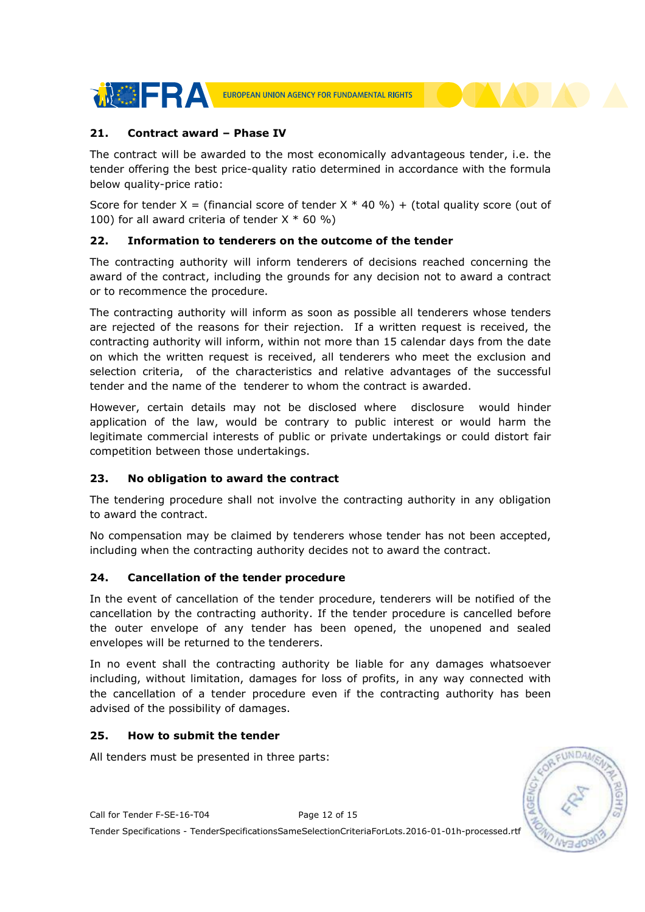

## 21. Contract award – Phase IV

The contract will be awarded to the most economically advantageous tender, i.e. the tender offering the best price-quality ratio determined in accordance with the formula below quality-price ratio:

Score for tender X = (financial score of tender X  $*$  40 %) + (total quality score (out of 100) for all award criteria of tender  $X * 60 %$ 

## 22. Information to tenderers on the outcome of the tender

The contracting authority will inform tenderers of decisions reached concerning the award of the contract, including the grounds for any decision not to award a contract or to recommence the procedure.

The contracting authority will inform as soon as possible all tenderers whose tenders are rejected of the reasons for their rejection. If a written request is received, the contracting authority will inform, within not more than 15 calendar days from the date on which the written request is received, all tenderers who meet the exclusion and selection criteria, of the characteristics and relative advantages of the successful tender and the name of the tenderer to whom the contract is awarded.

However, certain details may not be disclosed where disclosure would hinder application of the law, would be contrary to public interest or would harm the legitimate commercial interests of public or private undertakings or could distort fair competition between those undertakings.

## 23. No obligation to award the contract

The tendering procedure shall not involve the contracting authority in any obligation to award the contract.

No compensation may be claimed by tenderers whose tender has not been accepted, including when the contracting authority decides not to award the contract.

## 24. Cancellation of the tender procedure

In the event of cancellation of the tender procedure, tenderers will be notified of the cancellation by the contracting authority. If the tender procedure is cancelled before the outer envelope of any tender has been opened, the unopened and sealed envelopes will be returned to the tenderers.

In no event shall the contracting authority be liable for any damages whatsoever including, without limitation, damages for loss of profits, in any way connected with the cancellation of a tender procedure even if the contracting authority has been advised of the possibility of damages.

## 25. How to submit the tender

All tenders must be presented in three parts:



Call for Tender F-SE-16-T04 Page 12 of 15

Tender Specifications - TenderSpecificationsSameSelectionCriteriaForLots.2016-01-01h-processed.rtf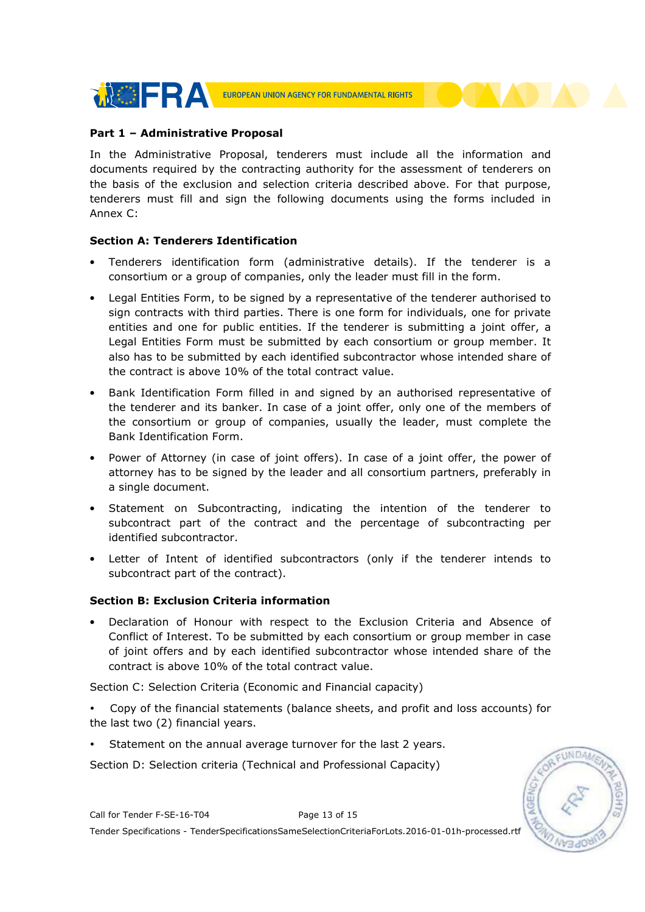

## Part 1 – Administrative Proposal

In the Administrative Proposal, tenderers must include all the information and documents required by the contracting authority for the assessment of tenderers on the basis of the exclusion and selection criteria described above. For that purpose, tenderers must fill and sign the following documents using the forms included in Annex C:

## Section A: Tenderers Identification

- Tenderers identification form (administrative details). If the tenderer is a consortium or a group of companies, only the leader must fill in the form.
- Legal Entities Form, to be signed by a representative of the tenderer authorised to sign contracts with third parties. There is one form for individuals, one for private entities and one for public entities. If the tenderer is submitting a joint offer, a Legal Entities Form must be submitted by each consortium or group member. It also has to be submitted by each identified subcontractor whose intended share of the contract is above 10% of the total contract value.
- Bank Identification Form filled in and signed by an authorised representative of the tenderer and its banker. In case of a joint offer, only one of the members of the consortium or group of companies, usually the leader, must complete the Bank Identification Form.
- Power of Attorney (in case of joint offers). In case of a joint offer, the power of attorney has to be signed by the leader and all consortium partners, preferably in a single document.
- Statement on Subcontracting, indicating the intention of the tenderer to subcontract part of the contract and the percentage of subcontracting per identified subcontractor.
- Letter of Intent of identified subcontractors (only if the tenderer intends to subcontract part of the contract).

## Section B: Exclusion Criteria information

• Declaration of Honour with respect to the Exclusion Criteria and Absence of Conflict of Interest. To be submitted by each consortium or group member in case of joint offers and by each identified subcontractor whose intended share of the contract is above 10% of the total contract value.

Section C: Selection Criteria (Economic and Financial capacity)

- Copy of the financial statements (balance sheets, and profit and loss accounts) for the last two (2) financial years.
- Statement on the annual average turnover for the last 2 years.

Section D: Selection criteria (Technical and Professional Capacity)



Call for Tender F-SE-16-T04 Page 13 of 15 Tender Specifications - TenderSpecificationsSameSelectionCriteriaForLots.2016-01-01h-processed.rtf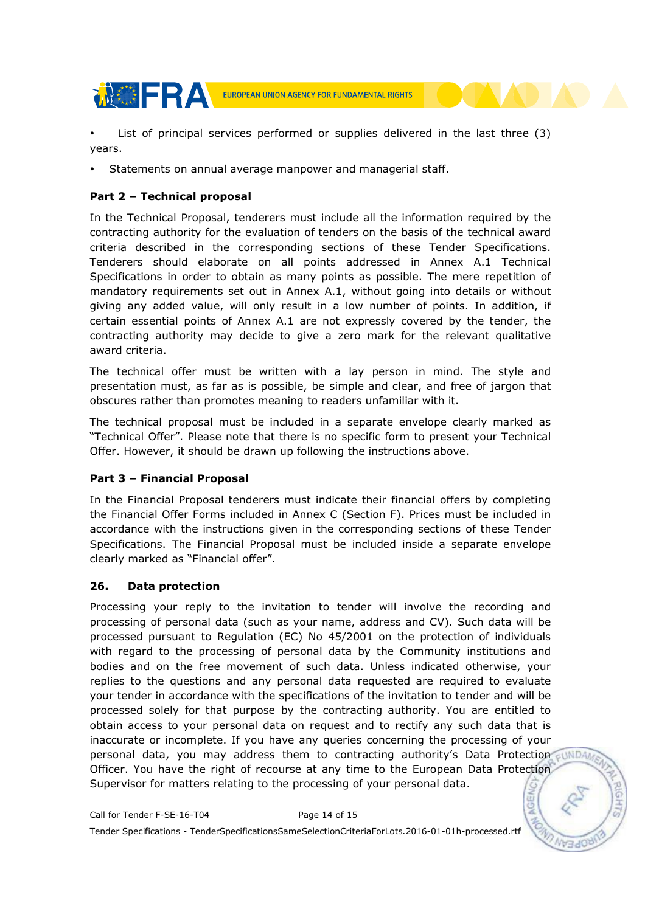

 List of principal services performed or supplies delivered in the last three (3) years.

Statements on annual average manpower and managerial staff.

## Part 2 – Technical proposal

In the Technical Proposal, tenderers must include all the information required by the contracting authority for the evaluation of tenders on the basis of the technical award criteria described in the corresponding sections of these Tender Specifications. Tenderers should elaborate on all points addressed in Annex A.1 Technical Specifications in order to obtain as many points as possible. The mere repetition of mandatory requirements set out in Annex A.1, without going into details or without giving any added value, will only result in a low number of points. In addition, if certain essential points of Annex A.1 are not expressly covered by the tender, the contracting authority may decide to give a zero mark for the relevant qualitative award criteria.

The technical offer must be written with a lay person in mind. The style and presentation must, as far as is possible, be simple and clear, and free of jargon that obscures rather than promotes meaning to readers unfamiliar with it.

The technical proposal must be included in a separate envelope clearly marked as "Technical Offer". Please note that there is no specific form to present your Technical Offer. However, it should be drawn up following the instructions above.

## Part 3 – Financial Proposal

In the Financial Proposal tenderers must indicate their financial offers by completing the Financial Offer Forms included in Annex C (Section F). Prices must be included in accordance with the instructions given in the corresponding sections of these Tender Specifications. The Financial Proposal must be included inside a separate envelope clearly marked as "Financial offer".

## 26. Data protection

Processing your reply to the invitation to tender will involve the recording and processing of personal data (such as your name, address and CV). Such data will be processed pursuant to Regulation (EC) No 45/2001 on the protection of individuals with regard to the processing of personal data by the Community institutions and bodies and on the free movement of such data. Unless indicated otherwise, your replies to the questions and any personal data requested are required to evaluate your tender in accordance with the specifications of the invitation to tender and will be processed solely for that purpose by the contracting authority. You are entitled to obtain access to your personal data on request and to rectify any such data that is inaccurate or incomplete. If you have any queries concerning the processing of your personal data, you may address them to contracting authority's Data Protection sunDA Officer. You have the right of recourse at any time to the European Data Protection Supervisor for matters relating to the processing of your personal data.